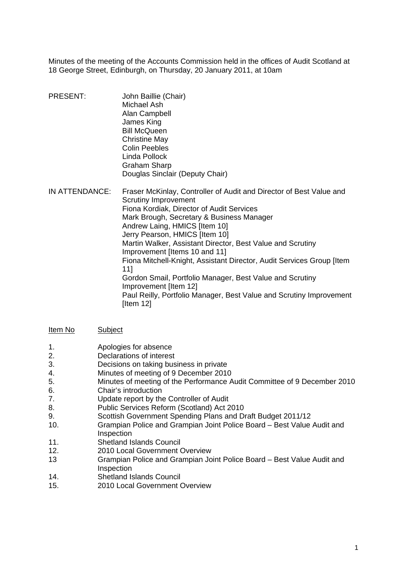Minutes of the meeting of the Accounts Commission held in the offices of Audit Scotland at 18 George Street, Edinburgh, on Thursday, 20 January 2011, at 10am

- PRESENT: John Baillie (Chair) Michael Ash Alan Campbell James King Bill McQueen Christine May Colin Peebles Linda Pollock Graham Sharp Douglas Sinclair (Deputy Chair)
- IN ATTENDANCE: Fraser McKinlay, Controller of Audit and Director of Best Value and Scrutiny Improvement Fiona Kordiak, Director of Audit Services Mark Brough, Secretary & Business Manager Andrew Laing, HMICS [Item 10] Jerry Pearson, HMICS [Item 10] Martin Walker, Assistant Director, Best Value and Scrutiny Improvement [Items 10 and 11] Fiona Mitchell-Knight, Assistant Director, Audit Services Group [Item 11] Gordon Smail, Portfolio Manager, Best Value and Scrutiny Improvement [Item 12] Paul Reilly, Portfolio Manager, Best Value and Scrutiny Improvement [Item 12]

#### Item No Subject

- 1. Apologies for absence
- 2. Declarations of interest
- 3. Decisions on taking business in private
- 4. Minutes of meeting of 9 December 2010
- 5. Minutes of meeting of the Performance Audit Committee of 9 December 2010
- 6. Chair's introduction
- 7. Update report by the Controller of Audit
- 8. Public Services Reform (Scotland) Act 2010
- 9. Scottish Government Spending Plans and Draft Budget 2011/12
- 10. Grampian Police and Grampian Joint Police Board Best Value Audit and Inspection
- 11. Shetland Islands Council
- 12. 2010 Local Government Overview
- Grampian Police and Grampian Joint Police Board Best Value Audit and Inspection 13
- 14. Shetland Islands Council
- 15. 2010 Local Government Overview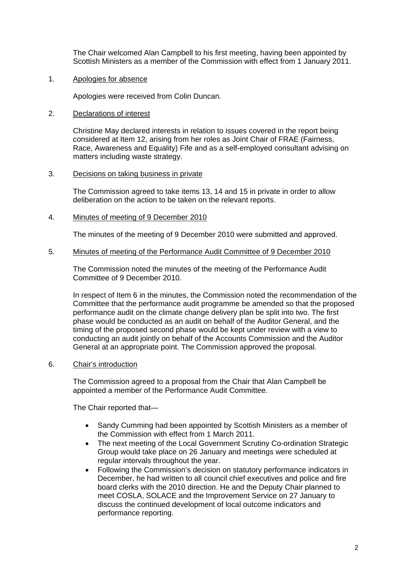The Chair welcomed Alan Campbell to his first meeting, having been appointed by Scottish Ministers as a member of the Commission with effect from 1 January 2011.

Apologies for absence

1. Apologies for absence<br>Apologies were received from Colin Duncan.

2. Declarations of interest

Christine May declared interests in relation to issues covered in the report being considered at Item 12, arising from her roles as Joint Chair of FRAE (Fairness, Race, Awareness and Equality) Fife and as a self-employed consultant advising on matters including waste strategy.

3. Decisions on taking business in private

The Commission agreed to take items 13, 14 and 15 in private in order to allow deliberation on the action to be taken on the relevant reports.

4. Minutes of meeting of 9 December 2010

The minutes of the meeting of 9 December 2010 were submitted and approved.

#### 5. Minutes of meeting of the Performance Audit Committee of 9 December 2010

The Commission noted the minutes of the meeting of the Performance Audit Committee of 9 December 2010.

In respect of Item 6 in the minutes, the Commission noted the recommendation of the Committee that the performance audit programme be amended so that the proposed performance audit on the climate change delivery plan be split into two. The first phase would be conducted as an audit on behalf of the Auditor General, and the timing of the proposed second phase would be kept under review with a view to conducting an audit jointly on behalf of the Accounts Commission and the Auditor General at an appropriate point. The Commission approved the proposal.

6. Chair's introduction

The Commission agreed to a proposal from the Chair that Alan Campbell be appointed a member of the Performance Audit Committee.

The Chair reported that—

- Sandy Cumming had been appointed by Scottish Ministers as a member of the Commission with effect from 1 March 2011.
- The next meeting of the Local Government Scrutiny Co-ordination Strategic Group would take place on 26 January and meetings were scheduled at regular intervals throughout the year.
- Following the Commission's decision on statutory performance indicators in December, he had written to all council chief executives and police and fire board clerks with the 2010 direction. He and the Deputy Chair planned to meet COSLA, SOLACE and the Improvement Service on 27 January to discuss the continued development of local outcome indicators and performance reporting.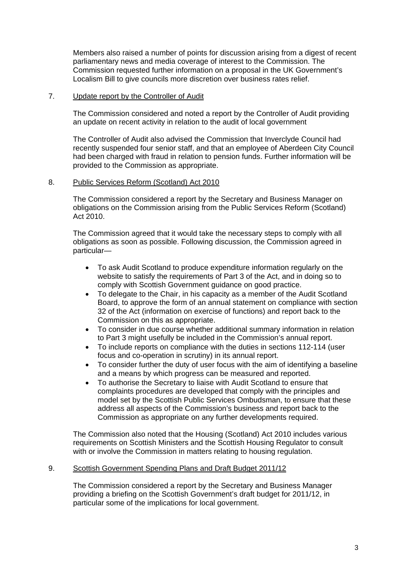Members also raised a number of points for discussion arising from a digest of recent parliamentary news and media coverage of interest to the Commission. The Commission requested further information on a proposal in the UK Government's Localism Bill to give councils more discretion over business rates relief.

# 7. Update report by the Controller of Audit

The Commission considered and noted a report by the Controller of Audit providing an update on recent activity in relation to the audit of local government

The Controller of Audit also advised the Commission that Inverclyde Council had recently suspended four senior staff, and that an employee of Aberdeen City Council had been charged with fraud in relation to pension funds. Further information will be provided to the Commission as appropriate.

# 8. Public Services Reform (Scotland) Act 2010

The Commission considered a report by the Secretary and Business Manager on obligations on the Commission arising from the Public Services Reform (Scotland) Act 2010.

The Commission agreed that it would take the necessary steps to comply with all obligations as soon as possible. Following discussion, the Commission agreed in particular—

- To ask Audit Scotland to produce expenditure information regularly on the website to satisfy the requirements of Part 3 of the Act, and in doing so to comply with Scottish Government guidance on good practice.
- To delegate to the Chair, in his capacity as a member of the Audit Scotland Board, to approve the form of an annual statement on compliance with section 32 of the Act (information on exercise of functions) and report back to the Commission on this as appropriate.
- To consider in due course whether additional summary information in relation to Part 3 might usefully be included in the Commission's annual report.
- To include reports on compliance with the duties in sections 112-114 (user focus and co-operation in scrutiny) in its annual report.
- To consider further the duty of user focus with the aim of identifying a baseline and a means by which progress can be measured and reported.
- To authorise the Secretary to liaise with Audit Scotland to ensure that complaints procedures are developed that comply with the principles and model set by the Scottish Public Services Ombudsman, to ensure that these address all aspects of the Commission's business and report back to the Commission as appropriate on any further developments required.

The Commission also noted that the Housing (Scotland) Act 2010 includes various requirements on Scottish Ministers and the Scottish Housing Regulator to consult with or involve the Commission in matters relating to housing regulation.

# 9. Scottish Government Spending Plans and Draft Budget 2011/12

The Commission considered a report by the Secretary and Business Manager providing a briefing on the Scottish Government's draft budget for 2011/12, in particular some of the implications for local government.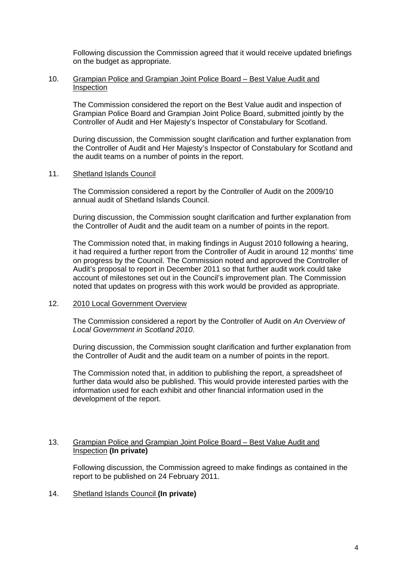Following discussion the Commission agreed that it would receive updated briefings on the budget as appropriate.

### 10. Grampian Police and Grampian Joint Police Board – Best Value Audit and Inspection

The Commission considered the report on the Best Value audit and inspection of Grampian Police Board and Grampian Joint Police Board, submitted jointly by the Controller of Audit and Her Majesty's Inspector of Constabulary for Scotland.

During discussion, the Commission sought clarification and further explanation from the Controller of Audit and Her Majesty's Inspector of Constabulary for Scotland and the audit teams on a number of points in the report.

#### 11. Shetland Islands Council

The Commission considered a report by the Controller of Audit on the 2009/10 annual audit of Shetland Islands Council.

During discussion, the Commission sought clarification and further explanation from the Controller of Audit and the audit team on a number of points in the report.

The Commission noted that, in making findings in August 2010 following a hearing, it had required a further report from the Controller of Audit in around 12 months' time on progress by the Council. The Commission noted and approved the Controller of Audit's proposal to report in December 2011 so that further audit work could take account of milestones set out in the Council's improvement plan. The Commission noted that updates on progress with this work would be provided as appropriate.

### 12. 2010 Local Government Overview

The Commission considered a report by the Controller of Audit on *An Overview of Local Government in Scotland 2010*.

During discussion, the Commission sought clarification and further explanation from the Controller of Audit and the audit team on a number of points in the report.

The Commission noted that, in addition to publishing the report, a spreadsheet of further data would also be published. This would provide interested parties with the information used for each exhibit and other financial information used in the development of the report.

# 13. Grampian Police and Grampian Joint Police Board – Best Value Audit and Inspection **(In private)**

Following discussion, the Commission agreed to make findings as contained in the report to be published on 24 February 2011.

# 14. Shetland Islands Council **(In private)**